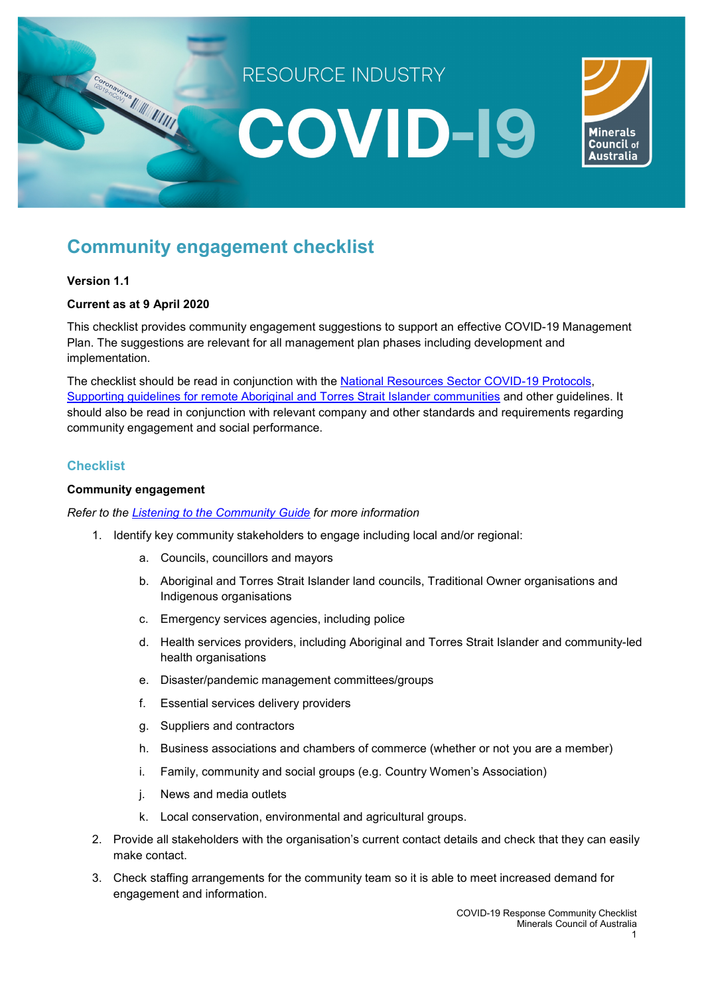

# **Community engagement checklist**

# **Version 1.1**

# **Current as at 9 April 2020**

This checklist provides community engagement suggestions to support an effective COVID-19 Management Plan. The suggestions are relevant for all management plan phases including development and implementation.

The checklist should be read in conjunction with the **National Resources Sector COVID-19 Protocols**, [Supporting guidelines for remote Aboriginal and Torres Strait Islander communities](https://minerals.org.au/sites/default/files/200330%20National%20Protocol%20-%20Supporting%20guidelines%20-%20Remote%20Aboriginal%20and%20Torres%20Strait%20Islander%20communities.pdf) and other guidelines. It should also be read in conjunction with relevant company and other standards and requirements regarding community engagement and social performance.

# **Checklist**

## **Community engagement**

*Refer to the [Listening to the Community Guide](https://www.qrc.org.au/wp-content/uploads/2016/06/2016-QRC-ListeningToCommunity-Report.pdfhttps:/www.qrc.org.au/wp-content/uploads/2016/06/2016-QRC-ListeningToCommunity-Report.pdf) for more information* 

- 1. Identify key community stakeholders to engage including local and/or regional:
	- a. Councils, councillors and mayors
	- b. Aboriginal and Torres Strait Islander land councils, Traditional Owner organisations and Indigenous organisations
	- c. Emergency services agencies, including police
	- d. Health services providers, including Aboriginal and Torres Strait Islander and community-led health organisations
	- e. Disaster/pandemic management committees/groups
	- f. Essential services delivery providers
	- g. Suppliers and contractors
	- h. Business associations and chambers of commerce (whether or not you are a member)
	- i. Family, community and social groups (e.g. Country Women's Association)
	- j. News and media outlets
	- k. Local conservation, environmental and agricultural groups.
	- 2. Provide all stakeholders with the organisation's current contact details and check that they can easily make contact.
	- 3. Check staffing arrangements for the community team so it is able to meet increased demand for engagement and information.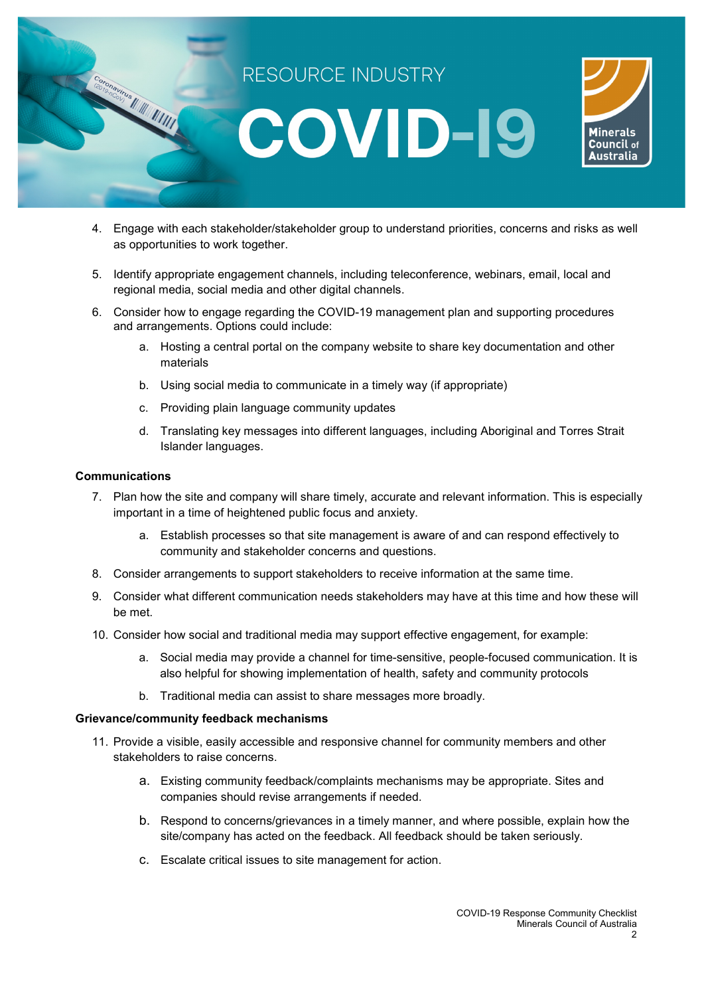

- 4. Engage with each stakeholder/stakeholder group to understand priorities, concerns and risks as well as opportunities to work together.
- 5. Identify appropriate engagement channels, including teleconference, webinars, email, local and regional media, social media and other digital channels.
- 6. Consider how to engage regarding the COVID-19 management plan and supporting procedures and arrangements. Options could include:
	- a. Hosting a central portal on the company website to share key documentation and other materials
	- b. Using social media to communicate in a timely way (if appropriate)
	- c. Providing plain language community updates
	- d. Translating key messages into different languages, including Aboriginal and Torres Strait Islander languages.

#### **Communications**

- 7. Plan how the site and company will share timely, accurate and relevant information. This is especially important in a time of heightened public focus and anxiety.
	- a. Establish processes so that site management is aware of and can respond effectively to community and stakeholder concerns and questions.
- 8. Consider arrangements to support stakeholders to receive information at the same time.
- 9. Consider what different communication needs stakeholders may have at this time and how these will be met.
- 10. Consider how social and traditional media may support effective engagement, for example:
	- a. Social media may provide a channel for time-sensitive, people-focused communication. It is also helpful for showing implementation of health, safety and community protocols
	- b. Traditional media can assist to share messages more broadly.

#### **Grievance/community feedback mechanisms**

- 11. Provide a visible, easily accessible and responsive channel for community members and other stakeholders to raise concerns.
	- a. Existing community feedback/complaints mechanisms may be appropriate. Sites and companies should revise arrangements if needed.
	- b. Respond to concerns/grievances in a timely manner, and where possible, explain how the site/company has acted on the feedback. All feedback should be taken seriously.
	- c. Escalate critical issues to site management for action.

2